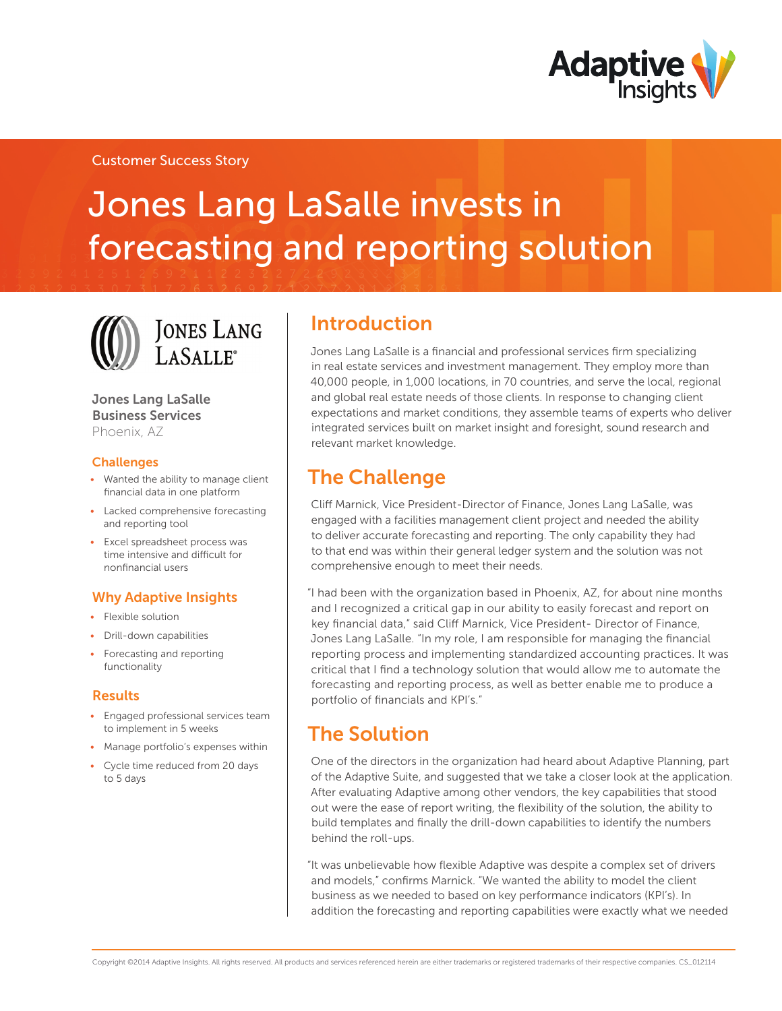

### Customer Success Story

# Jones Lang LaSalle invests in forecasting and reporting solution



## **JONES LANG** LASALLE<sup>®</sup>

Jones Lang LaSalle Business Services Phoenix, AZ

#### Challenges

- • Wanted the ability to manage client financial data in one platform
- Lacked comprehensive forecasting and reporting tool
- • Excel spreadsheet process was time intensive and difficult for nonfinancial users

### Why Adaptive Insights

- Flexible solution
- • Drill-down capabilities
- Forecasting and reporting functionality

#### Results

- • Engaged professional services team to implement in 5 weeks
- Manage portfolio's expenses within
- Cycle time reduced from 20 days to 5 days

### Introduction

Jones Lang LaSalle is a financial and professional services firm specializing in real estate services and investment management. They employ more than 40,000 people, in 1,000 locations, in 70 countries, and serve the local, regional and global real estate needs of those clients. In response to changing client expectations and market conditions, they assemble teams of experts who deliver integrated services built on market insight and foresight, sound research and relevant market knowledge.

### The Challenge

Cliff Marnick, Vice President-Director of Finance, Jones Lang LaSalle, was engaged with a facilities management client project and needed the ability to deliver accurate forecasting and reporting. The only capability they had to that end was within their general ledger system and the solution was not comprehensive enough to meet their needs.

"I had been with the organization based in Phoenix, AZ, for about nine months and I recognized a critical gap in our ability to easily forecast and report on key financial data," said Cliff Marnick, Vice President- Director of Finance, Jones Lang LaSalle. "In my role, I am responsible for managing the financial reporting process and implementing standardized accounting practices. It was critical that I find a technology solution that would allow me to automate the forecasting and reporting process, as well as better enable me to produce a portfolio of financials and KPI's."

### The Solution

One of the directors in the organization had heard about Adaptive Planning, part of the Adaptive Suite, and suggested that we take a closer look at the application. After evaluating Adaptive among other vendors, the key capabilities that stood out were the ease of report writing, the flexibility of the solution, the ability to build templates and finally the drill-down capabilities to identify the numbers behind the roll-ups.

"It was unbelievable how flexible Adaptive was despite a complex set of drivers and models," confirms Marnick. "We wanted the ability to model the client business as we needed to based on key performance indicators (KPI's). In addition the forecasting and reporting capabilities were exactly what we needed